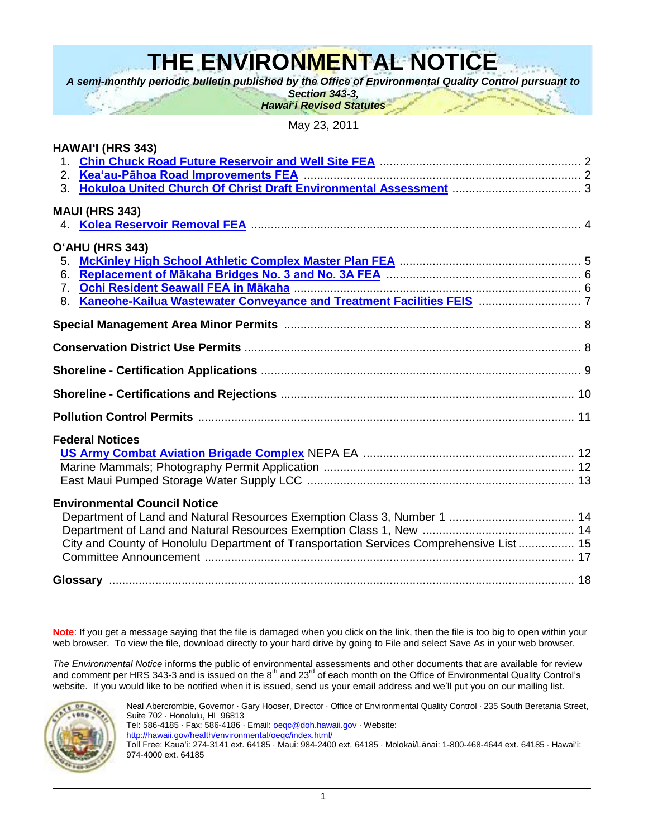# **THE ENVIRONMENTAL NOTICE**

*A semi-monthly periodic bulletin published by the Office of Environmental Quality Control pursuant to* 

*Section 343-3, Hawai***'***i Revised Statutes*

May 23, 2011

| <b>HAWAI'I (HRS 343)</b><br>3.                                                                                                  |  |
|---------------------------------------------------------------------------------------------------------------------------------|--|
| <b>MAUI (HRS 343)</b>                                                                                                           |  |
| O'AHU (HRS 343)<br>5.<br>6.<br>7 <sub>1</sub><br>8.                                                                             |  |
|                                                                                                                                 |  |
|                                                                                                                                 |  |
|                                                                                                                                 |  |
|                                                                                                                                 |  |
|                                                                                                                                 |  |
| <b>Federal Notices</b>                                                                                                          |  |
| <b>Environmental Council Notice</b><br>City and County of Honolulu Department of Transportation Services Comprehensive List  15 |  |
|                                                                                                                                 |  |

**Note**: If you get a message saying that the file is damaged when you click on the link, then the file is too big to open within your web browser. To view the file, download directly to your hard drive by going to File and select Save As in your web browser.

*The Environmental Notice* informs the public of environmental assessments and other documents that are available for review and comment per HRS 343-3 and is issued on the 8<sup>th</sup> and 23<sup>rd</sup> of each month on the Office of Environmental Quality Control's website. If you would like to be notified when it is issued, send us your email address and we'll put you on our mailing list.



Neal Abercrombie, Governor · Gary Hooser, Director · Office of Environmental Quality Control · 235 South Beretania Street, Suite 702 · Honolulu, HI 96813 Tel: 586-4185 · Fax: 586-4186 · Email[: oeqc@doh.hawaii.gov](mailto:oeqc@doh.hawaii.gov) · Website: <http://hawaii.gov/health/environmental/oeqc/index.html/> Toll Free: Kaua'i: 274-3141 ext. 64185 · Maui: 984-2400 ext. 64185 · Molokai/Lānai: 1-800-468-4644 ext. 64185 · Hawai'i: 974-4000 ext. 64185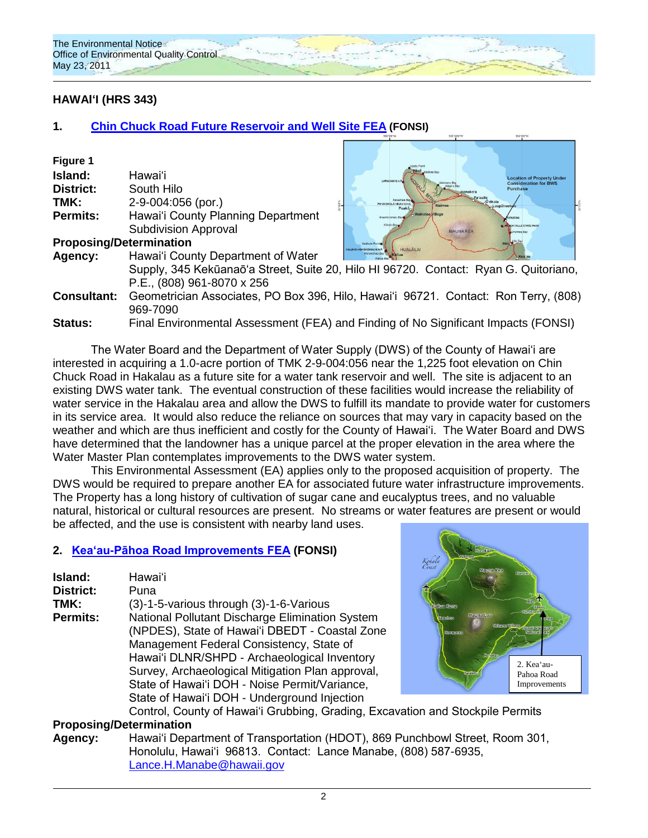# **HAWAI'I (HRS 343)**

# **1. [Chin Chuck Road Future Reservoir and Well Site FEA](http://oeqc.doh.hawaii.gov/Shared%20Documents/EA_and_EIS_Online_Library/Hawaii/2010s/2011-05-23-FEA-Chin-Chuck-Road-Reservoir-and-Well-Site.pdf) (FONSI)**

| Figure 1                       |                                                                                      |                   |                                                              |                  |                                                         |
|--------------------------------|--------------------------------------------------------------------------------------|-------------------|--------------------------------------------------------------|------------------|---------------------------------------------------------|
| Island:                        | Hawaiʻi                                                                              | LAPAKAN S.H.P.    | Kenkee Bay                                                   |                  | <b>Location of Property Under</b>                       |
| District:                      | South Hilo                                                                           |                   |                                                              |                  | <b>Consideration for BWS</b><br>Purchase                |
| TMK:                           | 2-9-004:056 (por.)                                                                   |                   | Kawaihae.<br><b>PU'UKOHOLÀ HEIAU N.H.</b><br>Waime<br>Puako- | aupähoeh         |                                                         |
| <b>Permits:</b>                | Hawai'i County Planning Department                                                   | Anseholomski Bave | laikoloa Village                                             |                  | lakalau                                                 |
|                                | <b>Subdivision Approval</b>                                                          | Kiholo Bay        |                                                              | <b>MAUNA KEA</b> | <b><i>IKA FALLS STATE PARK</i></b><br><b>Incomes Ba</b> |
| <b>Proposing/Determination</b> |                                                                                      | Keahole Poi       |                                                              |                  |                                                         |
| Agency:                        | Hawai'i County Department of Water                                                   |                   | <b>HUALALA</b>                                               |                  | Kea'au                                                  |
|                                | Supply, 345 Kekūanaō'a Street, Suite 20, Hilo HI 96720. Contact: Ryan G. Quitoriano, |                   |                                                              |                  |                                                         |
|                                | P.E., (808) 961-8070 x 256                                                           |                   |                                                              |                  |                                                         |
| <b>Consultant:</b>             | Geometrician Associates, PO Box 396, Hilo, Hawai'i 96721. Contact: Ron Terry, (808)  |                   |                                                              |                  |                                                         |
|                                | 969-7090                                                                             |                   |                                                              |                  |                                                         |
| <b>Status:</b>                 | Final Environmental Assessment (FEA) and Finding of No Significant Impacts (FONSI)   |                   |                                                              |                  |                                                         |

The Water Board and the Department of Water Supply (DWS) of the County of Hawai'i are interested in acquiring a 1.0-acre portion of TMK 2-9-004:056 near the 1,225 foot elevation on Chin Chuck Road in Hakalau as a future site for a water tank reservoir and well. The site is adjacent to an existing DWS water tank. The eventual construction of these facilities would increase the reliability of water service in the Hakalau area and allow the DWS to fulfill its mandate to provide water for customers in its service area. It would also reduce the reliance on sources that may vary in capacity based on the weather and which are thus inefficient and costly for the County of Hawai'i. The Water Board and DWS have determined that the landowner has a unique parcel at the proper elevation in the area where the Water Master Plan contemplates improvements to the DWS water system.

This Environmental Assessment (EA) applies only to the proposed acquisition of property. The DWS would be required to prepare another EA for associated future water infrastructure improvements. The Property has a long history of cultivation of sugar cane and eucalyptus trees, and no valuable natural, historical or cultural resources are present. No streams or water features are present or would be affected, and the use is consistent with nearby land uses.

### **2. [Kea'au-Pāhoa Road Improvements FEA](http://oeqc.doh.hawaii.gov/Shared%20Documents/EA_and_EIS_Online_Library/Hawaii/2010s/2011-05-23-FEA-00-Keaau-Pahoa-Road-Improvements.pdf) (FONSI)**

| Island:          | Hawai'i                                          |
|------------------|--------------------------------------------------|
| <b>District:</b> | Puna                                             |
|                  |                                                  |
| TMK:             | (3)-1-5-various through (3)-1-6-Various          |
| <b>Permits:</b>  | National Pollutant Discharge Elimination System  |
|                  | (NPDES), State of Hawai'i DBEDT - Coastal Zone   |
|                  | Management Federal Consistency, State of         |
|                  | Hawai'i DLNR/SHPD - Archaeological Inventory     |
|                  | Survey, Archaeological Mitigation Plan approval, |
|                  | State of Hawai'i DOH - Noise Permit/Variance,    |
|                  | State of Hawai'i DOH - Underground Injection     |
|                  | Control County of Hawai'i Grubbing Grading Exc   |



of Hawai'i Grubbing, Grading, Excavation and Stockpile Permits

### **Proposing/Determination**

**Agency:** Hawai'i Department of Transportation (HDOT), 869 Punchbowl Street, Room 301, Honolulu, Hawai'i 96813. Contact: Lance Manabe, (808) 587-6935, [Lance.H.Manabe@hawaii.gov](mailto:Lance.H.Manabe@hawaii.gov)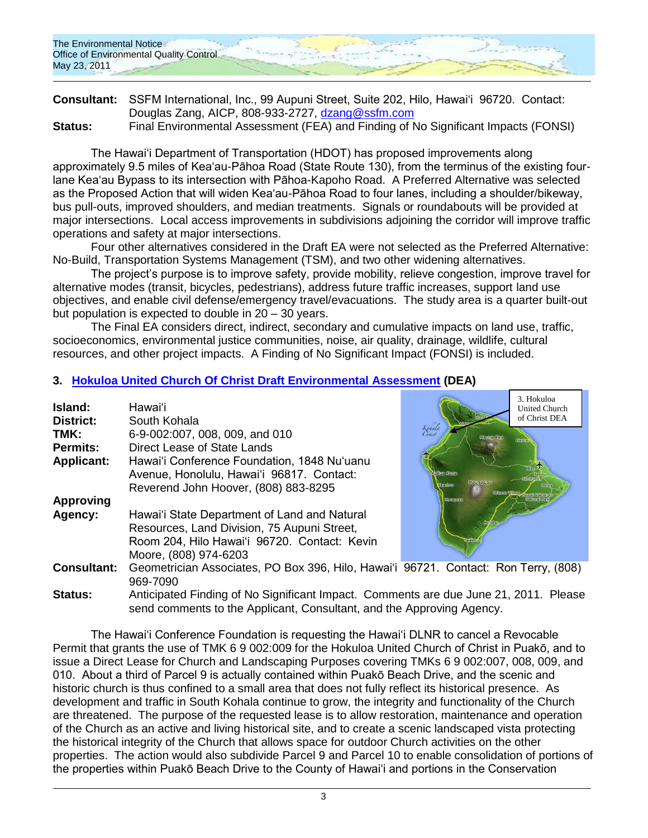

**Consultant:** SSFM International, Inc., 99 Aupuni Street, Suite 202, Hilo, Hawai'i 96720. Contact: Douglas Zang, AICP, 808-933-2727, [dzang@ssfm.com](mailto:dzang@ssfm.com) Status: Final Environmental Assessment (FEA) and Finding of No Significant Impacts (FONSI)

The Hawai'i Department of Transportation (HDOT) has proposed improvements along approximately 9.5 miles of Kea'au-Pāhoa Road (State Route 130), from the terminus of the existing fourlane Kea'au Bypass to its intersection with Pāhoa-Kapoho Road. A Preferred Alternative was selected as the Proposed Action that will widen Kea'au-Pāhoa Road to four lanes, including a shoulder/bikeway, bus pull-outs, improved shoulders, and median treatments. Signals or roundabouts will be provided at major intersections. Local access improvements in subdivisions adjoining the corridor will improve traffic operations and safety at major intersections.

Four other alternatives considered in the Draft EA were not selected as the Preferred Alternative: No-Build, Transportation Systems Management (TSM), and two other widening alternatives.

The project's purpose is to improve safety, provide mobility, relieve congestion, improve travel for alternative modes (transit, bicycles, pedestrians), address future traffic increases, support land use objectives, and enable civil defense/emergency travel/evacuations. The study area is a quarter built-out but population is expected to double in 20 – 30 years.

The Final EA considers direct, indirect, secondary and cumulative impacts on land use, traffic, socioeconomics, environmental justice communities, noise, air quality, drainage, wildlife, cultural resources, and other project impacts. A Finding of No Significant Impact (FONSI) is included.

### **3. [Hokuloa United Church Of Christ Draft Environmental Assessment](http://oeqc.doh.hawaii.gov/Shared%20Documents/EA_and_EIS_Online_Library/Hawaii/2010s/2011-05-23-DEA-Hokuloa-Church-Lease.pdf) (DEA)**

| Island:            | Hawaiʻi                                                                                                                                                       | 3. Hokuloa<br><b>United Church</b>                            |  |
|--------------------|---------------------------------------------------------------------------------------------------------------------------------------------------------------|---------------------------------------------------------------|--|
| District:          | South Kohala                                                                                                                                                  | of Christ DEA<br>Kohala<br>Coast                              |  |
| TMK:               | 6-9-002:007, 008, 009, and 010                                                                                                                                | Mamma Kea<br>Honom                                            |  |
| Permits:           | Direct Lease of State Lands                                                                                                                                   |                                                               |  |
| <b>Applicant:</b>  | Hawai'i Conference Foundation, 1848 Nu'uanu                                                                                                                   |                                                               |  |
|                    | Avenue, Honolulu, Hawai'i 96817. Contact:                                                                                                                     | kalina Kona                                                   |  |
|                    | Reverend John Hoover, (808) 883-8295                                                                                                                          | Mauna Loa<br><b>Ceanfrom</b><br><b>Paho</b><br>Volcano Villar |  |
| <b>Approving</b>   |                                                                                                                                                               | <b>Emanuan</b>                                                |  |
| Agency:            | Hawai'i State Department of Land and Natural                                                                                                                  |                                                               |  |
|                    | Resources, Land Division, 75 Aupuni Street,                                                                                                                   |                                                               |  |
|                    | Room 204, Hilo Hawai'i 96720. Contact: Kevin                                                                                                                  | Naaleh                                                        |  |
|                    | Moore, (808) 974-6203                                                                                                                                         |                                                               |  |
| <b>Consultant:</b> | Geometrician Associates, PO Box 396, Hilo, Hawai'i 96721. Contact: Ron Terry, (808)                                                                           |                                                               |  |
|                    | 969-7090                                                                                                                                                      |                                                               |  |
| Status:            | Anticipated Finding of No Significant Impact. Comments are due June 21, 2011. Please<br>send comments to the Applicant, Consultant, and the Approving Agency. |                                                               |  |

The Hawai'i Conference Foundation is requesting the Hawai'i DLNR to cancel a Revocable Permit that grants the use of TMK 6 9 002:009 for the Hokuloa United Church of Christ in Puakō, and to issue a Direct Lease for Church and Landscaping Purposes covering TMKs 6 9 002:007, 008, 009, and 010. About a third of Parcel 9 is actually contained within Puakō Beach Drive, and the scenic and historic church is thus confined to a small area that does not fully reflect its historical presence. As development and traffic in South Kohala continue to grow, the integrity and functionality of the Church are threatened. The purpose of the requested lease is to allow restoration, maintenance and operation of the Church as an active and living historical site, and to create a scenic landscaped vista protecting the historical integrity of the Church that allows space for outdoor Church activities on the other properties. The action would also subdivide Parcel 9 and Parcel 10 to enable consolidation of portions of the properties within Puakō Beach Drive to the County of Hawai'i and portions in the Conservation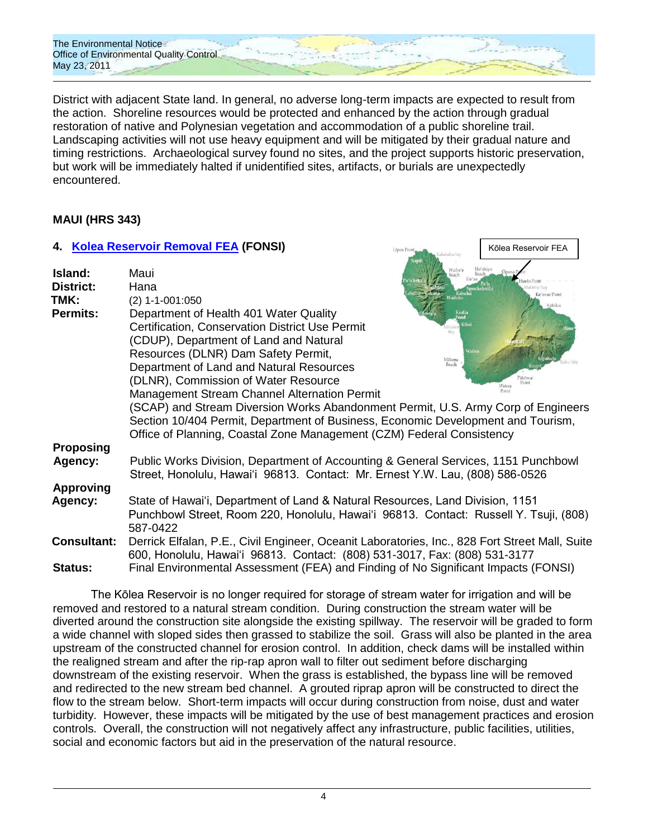

District with adjacent State land. In general, no adverse long-term impacts are expected to result from the action. Shoreline resources would be protected and enhanced by the action through gradual restoration of native and Polynesian vegetation and accommodation of a public shoreline trail. Landscaping activities will not use heavy equipment and will be mitigated by their gradual nature and timing restrictions. Archaeological survey found no sites, and the project supports historic preservation, but work will be immediately halted if unidentified sites, artifacts, or burials are unexpectedly encountered.

### **MAUI (HRS 343)**

### **4. [Kolea Reservoir Removal FEA](http://oeqc.doh.hawaii.gov/Shared%20Documents/EA_and_EIS_Online_Library/Maui/2010s/2011-05-23-FEA-Kolea-Reservoir-Removal.pdf) (FONSI)**

|                             | 4. Kolea Reservoir Removal FEA (FONSI)                                                                                                                                                                                                                                                                                                                                                                                                                                                         | Līpoa Point               | Kōlea Reservoir FEA |
|-----------------------------|------------------------------------------------------------------------------------------------------------------------------------------------------------------------------------------------------------------------------------------------------------------------------------------------------------------------------------------------------------------------------------------------------------------------------------------------------------------------------------------------|---------------------------|---------------------|
| Island:<br><b>District:</b> | Maui<br>Hana                                                                                                                                                                                                                                                                                                                                                                                                                                                                                   |                           | Ge'anae Poin        |
| TMK:                        | $(2)$ 1-1-001:050                                                                                                                                                                                                                                                                                                                                                                                                                                                                              |                           | Nähiku              |
| <b>Permits:</b>             | Department of Health 401 Water Quality<br><b>Certification, Conservation District Use Permit</b><br>(CDUP), Department of Land and Natural<br>Resources (DLNR) Dam Safety Permit,<br>Department of Land and Natural Resources<br>(DLNR), Commission of Water Resource<br>Management Stream Channel Alternation Permit<br>(SCAP) and Stream Diversion Works Abandonment Permit, U.S. Army Corp of Engineers<br>Section 10/404 Permit, Department of Business, Economic Development and Tourism, | Wailea<br>Mäkena<br>Beach |                     |
|                             | Office of Planning, Coastal Zone Management (CZM) Federal Consistency                                                                                                                                                                                                                                                                                                                                                                                                                          |                           |                     |
| <b>Proposing</b><br>Agency: | Public Works Division, Department of Accounting & General Services, 1151 Punchbowl<br>Street, Honolulu, Hawai'i 96813. Contact: Mr. Ernest Y.W. Lau, (808) 586-0526                                                                                                                                                                                                                                                                                                                            |                           |                     |
| <b>Approving</b>            |                                                                                                                                                                                                                                                                                                                                                                                                                                                                                                |                           |                     |
| Agency:                     | State of Hawai'i, Department of Land & Natural Resources, Land Division, 1151<br>Punchbowl Street, Room 220, Honolulu, Hawai'i 96813. Contact: Russell Y. Tsuji, (808)<br>587-0422                                                                                                                                                                                                                                                                                                             |                           |                     |
| <b>Consultant:</b>          | Derrick Elfalan, P.E., Civil Engineer, Oceanit Laboratories, Inc., 828 Fort Street Mall, Suite                                                                                                                                                                                                                                                                                                                                                                                                 |                           |                     |

600, Honolulu, Hawai'i 96813. Contact: (808) 531-3017, Fax: (808) 531-3177 **Status:** Final Environmental Assessment (FEA) and Finding of No Significant Impacts (FONSI)

The Kōlea Reservoir is no longer required for storage of stream water for irrigation and will be removed and restored to a natural stream condition. During construction the stream water will be diverted around the construction site alongside the existing spillway. The reservoir will be graded to form a wide channel with sloped sides then grassed to stabilize the soil. Grass will also be planted in the area upstream of the constructed channel for erosion control. In addition, check dams will be installed within the realigned stream and after the rip-rap apron wall to filter out sediment before discharging downstream of the existing reservoir. When the grass is established, the bypass line will be removed and redirected to the new stream bed channel. A grouted riprap apron will be constructed to direct the flow to the stream below. Short-term impacts will occur during construction from noise, dust and water turbidity. However, these impacts will be mitigated by the use of best management practices and erosion controls. Overall, the construction will not negatively affect any infrastructure, public facilities, utilities, social and economic factors but aid in the preservation of the natural resource.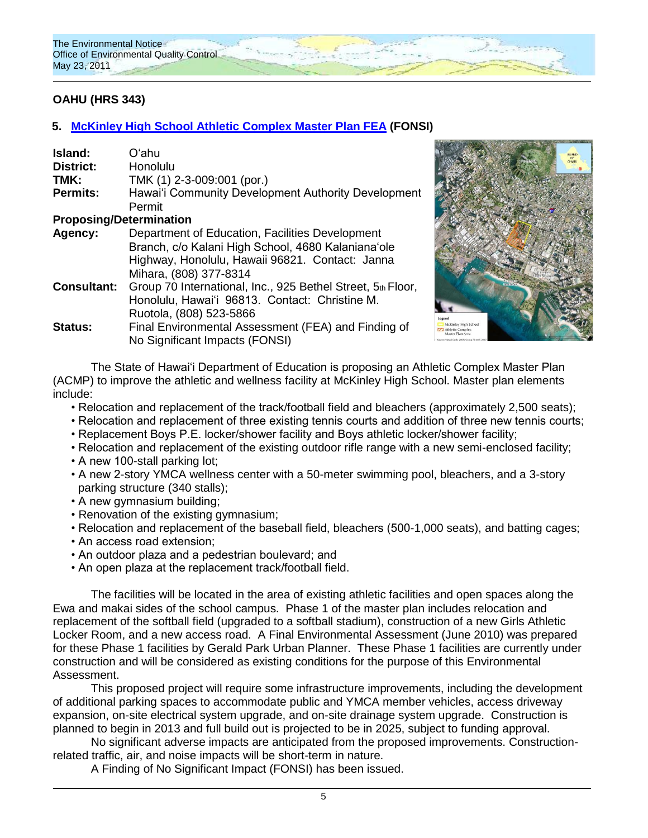# **OAHU (HRS 343)**

# **5. [McKinley High School Athletic Complex Master Plan FEA](http://oeqc.doh.hawaii.gov/Shared%20Documents/EA_and_EIS_Online_Library/Oahu/2010s/2011-05-23-FEA-McKinley-HS-Athletic-Complex-Master-Plan.pdf) (FONSI)**

| Island:<br><b>District:</b>    | Oʻahu<br>Honolulu                                                                                                                                                                  |
|--------------------------------|------------------------------------------------------------------------------------------------------------------------------------------------------------------------------------|
| TMK:                           | TMK (1) 2-3-009:001 (por.)                                                                                                                                                         |
| <b>Permits:</b>                | Hawai'i Community Development Authority Development<br>Permit                                                                                                                      |
| <b>Proposing/Determination</b> |                                                                                                                                                                                    |
| Agency:                        | Department of Education, Facilities Development<br>Branch, c/o Kalani High School, 4680 Kalaniana'ole<br>Highway, Honolulu, Hawaii 96821. Contact: Janna<br>Mihara, (808) 377-8314 |
| <b>Consultant:</b>             | Group 70 International, Inc., 925 Bethel Street, 5th Floor,<br>Honolulu, Hawai'i 96813. Contact: Christine M.<br>Ruotola, (808) 523-5866                                           |
| <b>Status:</b>                 | Final Environmental Assessment (FEA) and Finding of<br>No Significant Impacts (FONSI)                                                                                              |



The State of Hawai'i Department of Education is proposing an Athletic Complex Master Plan (ACMP) to improve the athletic and wellness facility at McKinley High School. Master plan elements include:

- Relocation and replacement of the track/football field and bleachers (approximately 2,500 seats);
- Relocation and replacement of three existing tennis courts and addition of three new tennis courts;
- Replacement Boys P.E. locker/shower facility and Boys athletic locker/shower facility;
- Relocation and replacement of the existing outdoor rifle range with a new semi-enclosed facility;
- A new 100-stall parking lot;
- A new 2-story YMCA wellness center with a 50-meter swimming pool, bleachers, and a 3-story parking structure (340 stalls);
- A new gymnasium building;
- Renovation of the existing gymnasium;
- Relocation and replacement of the baseball field, bleachers (500-1,000 seats), and batting cages;
- An access road extension;
- An outdoor plaza and a pedestrian boulevard; and
- An open plaza at the replacement track/football field.

The facilities will be located in the area of existing athletic facilities and open spaces along the Ewa and makai sides of the school campus. Phase 1 of the master plan includes relocation and replacement of the softball field (upgraded to a softball stadium), construction of a new Girls Athletic Locker Room, and a new access road. A Final Environmental Assessment (June 2010) was prepared for these Phase 1 facilities by Gerald Park Urban Planner. These Phase 1 facilities are currently under construction and will be considered as existing conditions for the purpose of this Environmental Assessment.

This proposed project will require some infrastructure improvements, including the development of additional parking spaces to accommodate public and YMCA member vehicles, access driveway expansion, on-site electrical system upgrade, and on-site drainage system upgrade. Construction is planned to begin in 2013 and full build out is projected to be in 2025, subject to funding approval.

No significant adverse impacts are anticipated from the proposed improvements. Constructionrelated traffic, air, and noise impacts will be short-term in nature.

A Finding of No Significant Impact (FONSI) has been issued.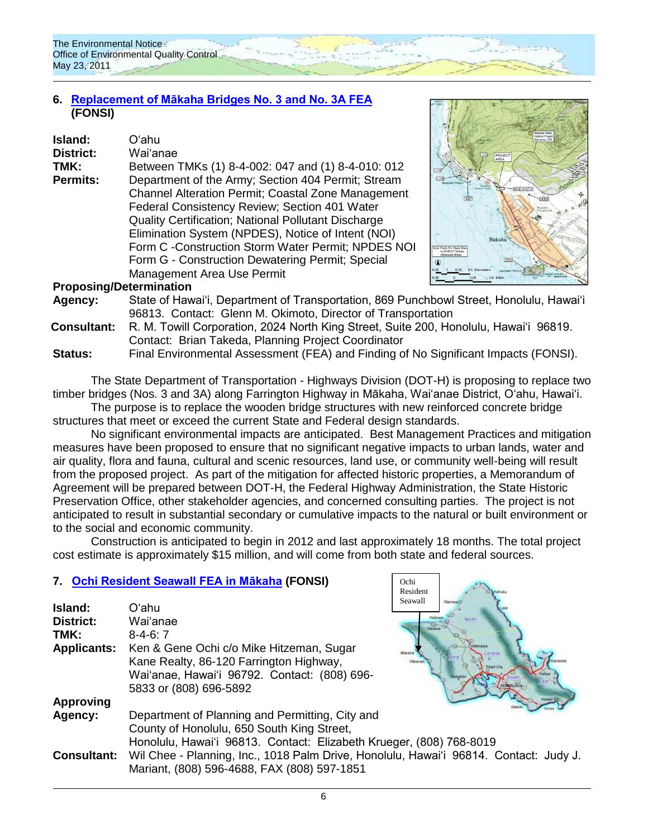

### **6. [Replacement of Mākaha Bridges No. 3 and No. 3A FEA](http://oeqc.doh.hawaii.gov/Shared%20Documents/EA_and_EIS_Online_Library/Oahu/2010s/2011-05-23-FEA-Makaha-Bridges-3-and-3A-Replacement.pdf) (FONSI)**

| Island:         | O'ahu                                               |
|-----------------|-----------------------------------------------------|
| District:       | Wai'anae                                            |
| TMK:            | Between TMKs (1) 8-4-002: 047 and (1) 8-4-010: 012  |
| <b>Permits:</b> | Department of the Army; Section 404 Permit; Stream  |
|                 | Channel Alteration Permit; Coastal Zone Management  |
|                 | Federal Consistency Review; Section 401 Water       |
|                 | Quality Certification; National Pollutant Discharge |
|                 | Elimination System (NPDES), Notice of Intent (NOI)  |
|                 | Form C - Construction Storm Water Permit; NPDES NOI |
|                 | Form G - Construction Dewatering Permit; Special    |
|                 | Management Area Use Permit                          |
|                 |                                                     |



### **Proposing/Determination**

- **Agency:** State of Hawai'i, Department of Transportation, 869 Punchbowl Street, Honolulu, Hawai'i 96813. Contact: Glenn M. Okimoto, Director of Transportation
- **Consultant:** R. M. Towill Corporation, 2024 North King Street, Suite 200, Honolulu, Hawai'i 96819. Contact: Brian Takeda, Planning Project Coordinator

**Status:** Final Environmental Assessment (FEA) and Finding of No Significant Impacts (FONSI).

The State Department of Transportation - Highways Division (DOT-H) is proposing to replace two timber bridges (Nos. 3 and 3A) along Farrington Highway in Mākaha, Wai'anae District, O'ahu, Hawai'i.

The purpose is to replace the wooden bridge structures with new reinforced concrete bridge structures that meet or exceed the current State and Federal design standards.

No significant environmental impacts are anticipated. Best Management Practices and mitigation measures have been proposed to ensure that no significant negative impacts to urban lands, water and air quality, flora and fauna, cultural and scenic resources, land use, or community well-being will result from the proposed project. As part of the mitigation for affected historic properties, a Memorandum of Agreement will be prepared between DOT-H, the Federal Highway Administration, the State Historic Preservation Office, other stakeholder agencies, and concerned consulting parties. The project is not anticipated to result in substantial secondary or cumulative impacts to the natural or built environment or to the social and economic community.

Construction is anticipated to begin in 2012 and last approximately 18 months. The total project cost estimate is approximately \$15 million, and will come from both state and federal sources.

> Ochi Resident

### **7. [Ochi Resident Seawall FEA in Mākaha](http://oeqc.doh.hawaii.gov/Shared%20Documents/EA_and_EIS_Online_Library/Oahu/2010s/2011-05-23-FEA-Ochi-Resident-Seawall-Waianae.pdf) (FONSI)**

| <b>Island:</b><br>District:<br>TMK:<br><b>Applicants:</b> | Oʻahu<br>Wai'anae<br>$8 - 4 - 6$ : 7<br>Ken & Gene Ochi c/o Mike Hitzeman, Sugar<br>Kane Realty, 86-120 Farrington Highway,<br>Wai'anae, Hawai'i 96792. Contact: (808) 696-<br>5833 or (808) 696-5892       | Seawall | Vibinos<br><b>NUTH</b> |
|-----------------------------------------------------------|-------------------------------------------------------------------------------------------------------------------------------------------------------------------------------------------------------------|---------|------------------------|
| <b>Approving</b><br>Agency:                               | Department of Planning and Permitting, City and<br>County of Honolulu, 650 South King Street,                                                                                                               |         |                        |
| <b>Consultant:</b>                                        | Honolulu, Hawai'i 96813. Contact: Elizabeth Krueger, (808) 768-8019<br>Wil Chee - Planning, Inc., 1018 Palm Drive, Honolulu, Hawai'i 96814. Contact: Judy J.<br>Mariant, (808) 596-4688, FAX (808) 597-1851 |         |                        |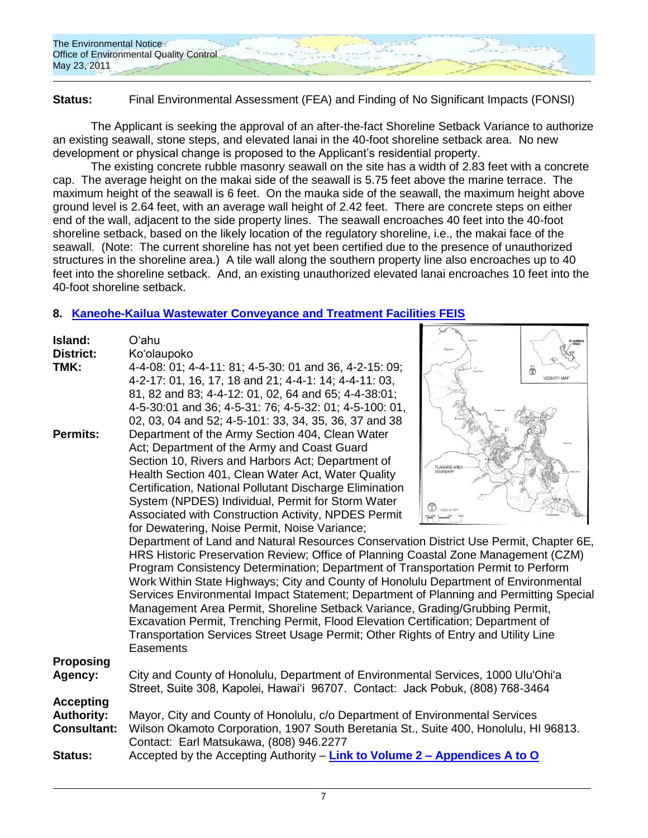

**Status:** Final Environmental Assessment (FEA) and Finding of No Significant Impacts (FONSI)

The Applicant is seeking the approval of an after-the-fact Shoreline Setback Variance to authorize an existing seawall, stone steps, and elevated lanai in the 40-foot shoreline setback area. No new development or physical change is proposed to the Applicant's residential property.

The existing concrete rubble masonry seawall on the site has a width of 2.83 feet with a concrete cap. The average height on the makai side of the seawall is 5.75 feet above the marine terrace. The maximum height of the seawall is 6 feet. On the mauka side of the seawall, the maximum height above ground level is 2.64 feet, with an average wall height of 2.42 feet. There are concrete steps on either end of the wall, adjacent to the side property lines. The seawall encroaches 40 feet into the 40-foot shoreline setback, based on the likely location of the regulatory shoreline, i.e., the makai face of the seawall. (Note: The current shoreline has not yet been certified due to the presence of unauthorized structures in the shoreline area.) A tile wall along the southern property line also encroaches up to 40 feet into the shoreline setback. And, an existing unauthorized elevated lanai encroaches 10 feet into the 40-foot shoreline setback.

# **8. [Kaneohe-Kailua Wastewater Conveyance and Treatment Facilities FEIS](http://oeqc.doh.hawaii.gov/Shared%20Documents/EA_and_EIS_Online_Library/Oahu/2010s/2011-05-23-FEIS-Kaneohe-Kailua-Wastewater-Conveyance-and-Treatmt-Facility-Vol-1-of-2.pdf)**

| Island:<br><b>District:</b><br>TMK:                                           | O'ahu<br>Ko'olaupoko<br>4-4-08: 01; 4-4-11: 81; 4-5-30: 01 and 36, 4-2-15: 09;<br>4-2-17: 01, 16, 17, 18 and 21; 4-4-1: 14; 4-4-11: 03,<br>81, 82 and 83; 4-4-12: 01, 02, 64 and 65; 4-4-38:01;<br>4-5-30:01 and 36; 4-5-31: 76; 4-5-32: 01; 4-5-100: 01,<br>02, 03, 04 and 52; 4-5-101: 33, 34, 35, 36, 37 and 38                                                                                                                                                                                                                                                                                                                                                                                                                                                                                                                                                                                                                                                                                                                                                                                                                                               |                                                  | $\ddot{\textcirc}$<br><b>VICINITY MAF</b> |
|-------------------------------------------------------------------------------|------------------------------------------------------------------------------------------------------------------------------------------------------------------------------------------------------------------------------------------------------------------------------------------------------------------------------------------------------------------------------------------------------------------------------------------------------------------------------------------------------------------------------------------------------------------------------------------------------------------------------------------------------------------------------------------------------------------------------------------------------------------------------------------------------------------------------------------------------------------------------------------------------------------------------------------------------------------------------------------------------------------------------------------------------------------------------------------------------------------------------------------------------------------|--------------------------------------------------|-------------------------------------------|
| <b>Permits:</b>                                                               | Department of the Army Section 404, Clean Water<br>Act; Department of the Army and Coast Guard<br>Section 10, Rivers and Harbors Act; Department of<br>Health Section 401, Clean Water Act, Water Quality<br>Certification, National Pollutant Discharge Elimination<br>System (NPDES) Individual, Permit for Storm Water<br>Associated with Construction Activity, NPDES Permit<br>for Dewatering, Noise Permit, Noise Variance;<br>Department of Land and Natural Resources Conservation District Use Permit, Chapter 6E,<br>HRS Historic Preservation Review; Office of Planning Coastal Zone Management (CZM)<br>Program Consistency Determination; Department of Transportation Permit to Perform<br>Work Within State Highways; City and County of Honolulu Department of Environmental<br>Services Environmental Impact Statement; Department of Planning and Permitting Special<br>Management Area Permit, Shoreline Setback Variance, Grading/Grubbing Permit,<br>Excavation Permit, Trenching Permit, Flood Elevation Certification; Department of<br>Transportation Services Street Usage Permit; Other Rights of Entry and Utility Line<br>Easements | PLANNING ARE<br><b>SOUNDARY</b><br>SCALE IN FEET |                                           |
| <b>Proposing</b><br>Agency:                                                   | City and County of Honolulu, Department of Environmental Services, 1000 Ulu'Ohi'a<br>Street, Suite 308, Kapolei, Hawai'i 96707. Contact: Jack Pobuk, (808) 768-3464                                                                                                                                                                                                                                                                                                                                                                                                                                                                                                                                                                                                                                                                                                                                                                                                                                                                                                                                                                                              |                                                  |                                           |
| <b>Accepting</b><br><b>Authority:</b><br><b>Consultant:</b><br><b>Status:</b> | Mayor, City and County of Honolulu, c/o Department of Environmental Services<br>Wilson Okamoto Corporation, 1907 South Beretania St., Suite 400, Honolulu, HI 96813.<br>Contact: Earl Matsukawa, (808) 946.2277<br>Accepted by the Accepting Authority - Link to Volume 2 - Appendices A to O                                                                                                                                                                                                                                                                                                                                                                                                                                                                                                                                                                                                                                                                                                                                                                                                                                                                    |                                                  |                                           |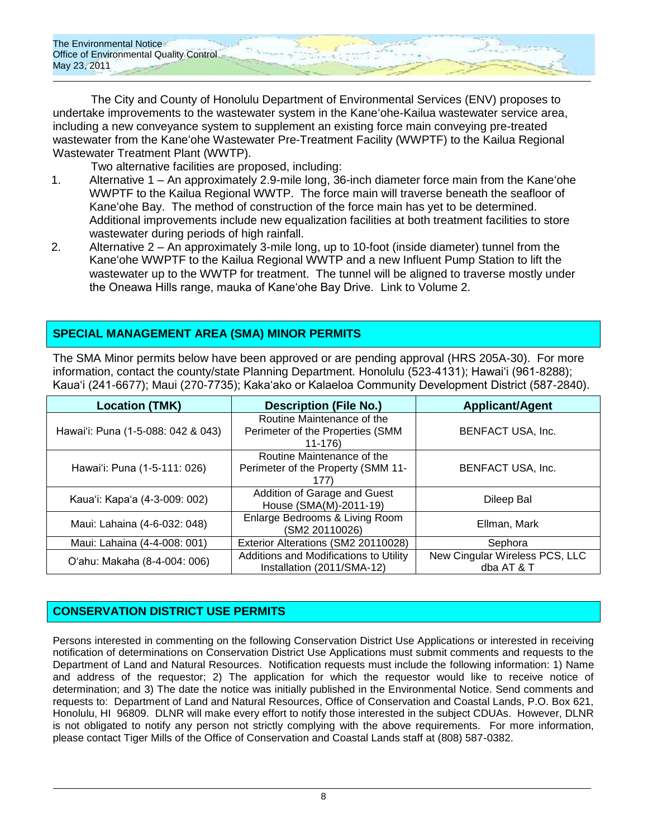| The Environmental Notice                |  |  |
|-----------------------------------------|--|--|
| Office of Environmental Quality Control |  |  |
| May 23, 2011                            |  |  |

The City and County of Honolulu Department of Environmental Services (ENV) proposes to undertake improvements to the wastewater system in the Kane'ohe-Kailua wastewater service area, including a new conveyance system to supplement an existing force main conveying pre-treated wastewater from the Kane'ohe Wastewater Pre-Treatment Facility (WWPTF) to the Kailua Regional Wastewater Treatment Plant (WWTP).

Two alternative facilities are proposed, including:

- 1. Alternative 1 An approximately 2.9-mile long, 36-inch diameter force main from the Kane'ohe WWPTF to the Kailua Regional WWTP. The force main will traverse beneath the seafloor of Kane'ohe Bay. The method of construction of the force main has yet to be determined. Additional improvements include new equalization facilities at both treatment facilities to store wastewater during periods of high rainfall.
- 2. Alternative 2 An approximately 3-mile long, up to 10-foot (inside diameter) tunnel from the Kane'ohe WWPTF to the Kailua Regional WWTP and a new Influent Pump Station to lift the wastewater up to the WWTP for treatment. The tunnel will be aligned to traverse mostly under the Oneawa Hills range, mauka of Kane'ohe Bay Drive. Link to Volume 2.

# **SPECIAL MANAGEMENT AREA (SMA) MINOR PERMITS**

The SMA Minor permits below have been approved or are pending approval (HRS 205A-30). For more information, contact the county/state Planning Department. Honolulu (523-4131); Hawai'i (961-8288); Kaua'i (241-6677); Maui (270-7735); Kaka'ako or Kalaeloa Community Development District (587-2840).

| <b>Location (TMK)</b>              | <b>Description (File No.)</b>                                                | <b>Applicant/Agent</b>                       |
|------------------------------------|------------------------------------------------------------------------------|----------------------------------------------|
| Hawai'i: Puna (1-5-088: 042 & 043) | Routine Maintenance of the<br>Perimeter of the Properties (SMM<br>$11 - 176$ | BENFACT USA, Inc.                            |
| Hawai'i: Puna (1-5-111: 026)       | Routine Maintenance of the<br>Perimeter of the Property (SMM 11-<br>177)     | BENFACT USA, Inc.                            |
| Kaua'i: Kapa'a (4-3-009: 002)      | Addition of Garage and Guest<br>House (SMA(M)-2011-19)                       | Dileep Bal                                   |
| Maui: Lahaina (4-6-032: 048)       | Enlarge Bedrooms & Living Room<br>(SM2 20110026)                             | Ellman, Mark                                 |
| Maui: Lahaina (4-4-008: 001)       | Exterior Alterations (SM2 20110028)                                          | Sephora                                      |
| O'ahu: Makaha (8-4-004: 006)       | Additions and Modifications to Utility<br>Installation (2011/SMA-12)         | New Cingular Wireless PCS, LLC<br>dba AT & T |

# **CONSERVATION DISTRICT USE PERMITS**

Persons interested in commenting on the following Conservation District Use Applications or interested in receiving notification of determinations on Conservation District Use Applications must submit comments and requests to the Department of Land and Natural Resources. Notification requests must include the following information: 1) Name and address of the requestor; 2) The application for which the requestor would like to receive notice of determination; and 3) The date the notice was initially published in the Environmental Notice. Send comments and requests to: Department of Land and Natural Resources, Office of Conservation and Coastal Lands, P.O. Box 621, Honolulu, HI 96809. DLNR will make every effort to notify those interested in the subject CDUAs. However, DLNR is not obligated to notify any person not strictly complying with the above requirements. For more information, please contact Tiger Mills of the Office of Conservation and Coastal Lands staff at (808) 587-0382.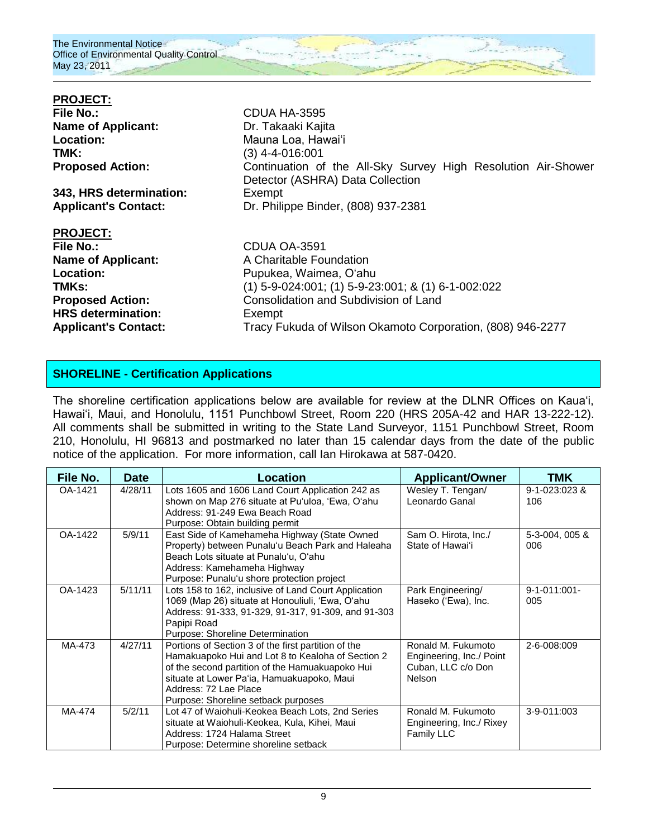

| <b>PROJECT:</b>             |                                                               |
|-----------------------------|---------------------------------------------------------------|
| <b>File No.:</b>            | CDUA HA-3595                                                  |
| <b>Name of Applicant:</b>   | Dr. Takaaki Kajita                                            |
| Location:                   | Mauna Loa, Hawai'i                                            |
| TMK:                        | (3) 4-4-016:001                                               |
| <b>Proposed Action:</b>     | Continuation of the All-Sky Survey High Resolution Air-Shower |
|                             | Detector (ASHRA) Data Collection                              |
| 343, HRS determination:     | Exempt                                                        |
| <b>Applicant's Contact:</b> | Dr. Philippe Binder, (808) 937-2381                           |
| <b>PROJECT:</b>             |                                                               |
| File No.:                   | CDUA OA-3591                                                  |
| <b>Name of Applicant:</b>   | A Charitable Foundation                                       |
| Location:                   | Pupukea, Waimea, O'ahu                                        |
| TMKs:                       | $(1)$ 5-9-024:001; (1) 5-9-23:001; & (1) 6-1-002:022          |
| <b>Proposed Action:</b>     | Consolidation and Subdivision of Land                         |
| <b>HRS</b> determination:   | Exempt                                                        |
| <b>Applicant's Contact:</b> | Tracy Fukuda of Wilson Okamoto Corporation, (808) 946-2277    |
|                             |                                                               |

### **SHORELINE - Certification Applications**

The shoreline certification applications below are available for review at the DLNR Offices on Kaua'i, Hawai'i, Maui, and Honolulu, 1151 Punchbowl Street, Room 220 (HRS 205A-42 and HAR 13-222-12). All comments shall be submitted in writing to the State Land Surveyor, 1151 Punchbowl Street, Room 210, Honolulu, HI 96813 and postmarked no later than 15 calendar days from the date of the public notice of the application. For more information, call Ian Hirokawa at 587-0420.

| File No. | <b>Date</b> | <b>Location</b>                                                                                                                                                                                                                                                           | <b>Applicant/Owner</b>                                                                | <b>TMK</b>                 |
|----------|-------------|---------------------------------------------------------------------------------------------------------------------------------------------------------------------------------------------------------------------------------------------------------------------------|---------------------------------------------------------------------------------------|----------------------------|
| OA-1421  | 4/28/11     | Lots 1605 and 1606 Land Court Application 242 as<br>shown on Map 276 situate at Pu'uloa, 'Ewa, O'ahu<br>Address: 91-249 Ewa Beach Road<br>Purpose: Obtain building permit                                                                                                 | Wesley T. Tengan/<br>Leonardo Ganal                                                   | $9 - 1 - 023:023$ &<br>106 |
| OA-1422  | 5/9/11      | East Side of Kamehameha Highway (State Owned<br>Property) between Punalu'u Beach Park and Haleaha<br>Beach Lots situate at Punalu'u, O'ahu<br>Address: Kamehameha Highway<br>Purpose: Punalu'u shore protection project                                                   | Sam O. Hirota, Inc./<br>State of Hawai'i                                              | $5-3-004,005$ &<br>006     |
| OA-1423  | 5/11/11     | Lots 158 to 162, inclusive of Land Court Application<br>1069 (Map 26) situate at Honouliuli, 'Ewa, O'ahu<br>Address: 91-333, 91-329, 91-317, 91-309, and 91-303<br>Papipi Road<br>Purpose: Shoreline Determination                                                        | Park Engineering/<br>Haseko ('Ewa), Inc.                                              | $9 - 1 - 011:001 -$<br>005 |
| MA-473   | 4/27/11     | Portions of Section 3 of the first partition of the<br>Hamakuapoko Hui and Lot 8 to Kealoha of Section 2<br>of the second partition of the Hamuakuapoko Hui<br>situate at Lower Pa'ia, Hamuakuapoko, Maui<br>Address: 72 Lae Place<br>Purpose: Shoreline setback purposes | Ronald M. Fukumoto<br>Engineering, Inc./ Point<br>Cuban, LLC c/o Don<br><b>Nelson</b> | 2-6-008:009                |
| MA-474   | 5/2/11      | Lot 47 of Waiohuli-Keokea Beach Lots, 2nd Series<br>situate at Waiohuli-Keokea, Kula, Kihei, Maui<br>Address: 1724 Halama Street<br>Purpose: Determine shoreline setback                                                                                                  | Ronald M. Fukumoto<br>Engineering, Inc./ Rixey<br><b>Family LLC</b>                   | 3-9-011:003                |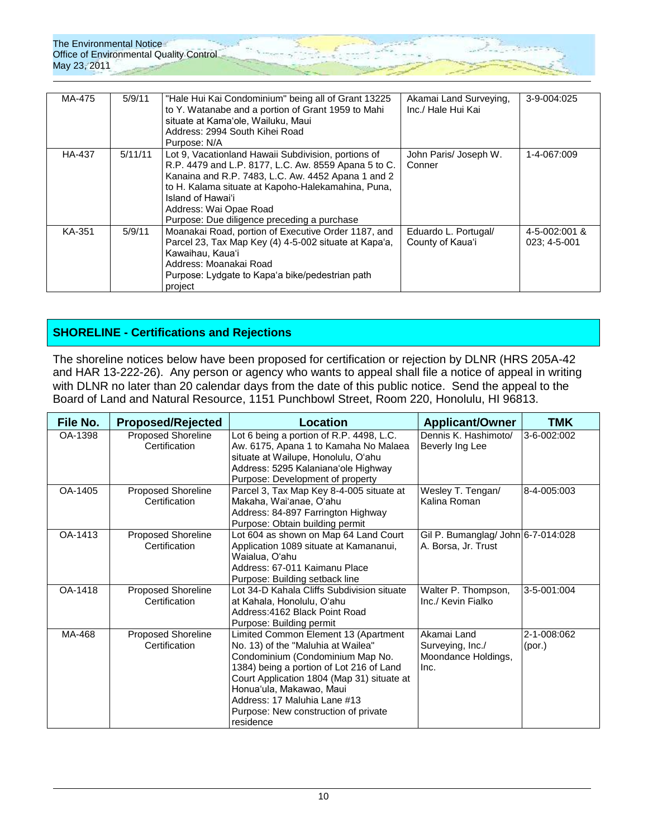| MA-475 | 5/9/11  | "Hale Hui Kai Condominium" being all of Grant 13225<br>to Y. Watanabe and a portion of Grant 1959 to Mahi<br>situate at Kama'ole, Wailuku, Maui<br>Address: 2994 South Kihei Road<br>Purpose: N/A                                                                                                                     | Akamai Land Surveying,<br>Inc./ Hale Hui Kai | 3-9-004:025                               |
|--------|---------|-----------------------------------------------------------------------------------------------------------------------------------------------------------------------------------------------------------------------------------------------------------------------------------------------------------------------|----------------------------------------------|-------------------------------------------|
| HA-437 | 5/11/11 | Lot 9, Vacationland Hawaii Subdivision, portions of<br>R.P. 4479 and L.P. 8177, L.C. Aw. 8559 Apana 5 to C.<br>Kanaina and R.P. 7483, L.C. Aw. 4452 Apana 1 and 2<br>to H. Kalama situate at Kapoho-Halekamahina, Puna,<br>Island of Hawai'i<br>Address: Wai Opae Road<br>Purpose: Due diligence preceding a purchase | John Paris/ Joseph W.<br>Conner              | 1-4-067:009                               |
| KA-351 | 5/9/11  | Moanakai Road, portion of Executive Order 1187, and<br>Parcel 23, Tax Map Key (4) 4-5-002 situate at Kapa'a,<br>Kawaihau, Kaua'i<br>Address: Moanakai Road<br>Purpose: Lydgate to Kapa'a bike/pedestrian path<br>project                                                                                              | Eduardo L. Portugal/<br>County of Kaua'i     | $4 - 5 - 002:001$ &<br>$023: 4 - 5 - 001$ |

# **SHORELINE - Certifications and Rejections**

The shoreline notices below have been proposed for certification or rejection by DLNR (HRS 205A-42 and HAR 13-222-26). Any person or agency who wants to appeal shall file a notice of appeal in writing with DLNR no later than 20 calendar days from the date of this public notice. Send the appeal to the Board of Land and Natural Resource, 1151 Punchbowl Street, Room 220, Honolulu, HI 96813.

| File No. | <b>Proposed/Rejected</b>                   | <b>Location</b>                                                                                                                                                                                                                                                                                                           | <b>Applicant/Owner</b>                                         | <b>TMK</b>            |
|----------|--------------------------------------------|---------------------------------------------------------------------------------------------------------------------------------------------------------------------------------------------------------------------------------------------------------------------------------------------------------------------------|----------------------------------------------------------------|-----------------------|
| OA-1398  | <b>Proposed Shoreline</b><br>Certification | Lot 6 being a portion of R.P. 4498, L.C.<br>Aw. 6175, Apana 1 to Kamaha No Malaea<br>situate at Wailupe, Honolulu, O'ahu<br>Address: 5295 Kalaniana'ole Highway<br>Purpose: Development of property                                                                                                                       | Dennis K. Hashimoto/<br>Beverly Ing Lee                        | 3-6-002:002           |
| OA-1405  | <b>Proposed Shoreline</b><br>Certification | Parcel 3, Tax Map Key 8-4-005 situate at<br>Makaha, Wai'anae, O'ahu<br>Address: 84-897 Farrington Highway<br>Purpose: Obtain building permit                                                                                                                                                                              | Wesley T. Tengan/<br>Kalina Roman                              | 8-4-005:003           |
| OA-1413  | <b>Proposed Shoreline</b><br>Certification | Lot 604 as shown on Map 64 Land Court<br>Application 1089 situate at Kamananui,<br>Waialua, O'ahu<br>Address: 67-011 Kaimanu Place<br>Purpose: Building setback line                                                                                                                                                      | Gil P. Bumanglag/ John 6-7-014:028<br>A. Borsa, Jr. Trust      |                       |
| OA-1418  | <b>Proposed Shoreline</b><br>Certification | Lot 34-D Kahala Cliffs Subdivision situate<br>at Kahala, Honolulu, O'ahu<br>Address: 4162 Black Point Road<br>Purpose: Building permit                                                                                                                                                                                    | Walter P. Thompson,<br>Inc./ Kevin Fialko                      | 3-5-001:004           |
| MA-468   | <b>Proposed Shoreline</b><br>Certification | Limited Common Element 13 (Apartment<br>No. 13) of the "Maluhia at Wailea"<br>Condominium (Condominium Map No.<br>1384) being a portion of Lot 216 of Land<br>Court Application 1804 (Map 31) situate at<br>Honua'ula, Makawao, Maui<br>Address: 17 Maluhia Lane #13<br>Purpose: New construction of private<br>residence | Akamai Land<br>Surveying, Inc./<br>Moondance Holdings,<br>Inc. | 2-1-008:062<br>(por.) |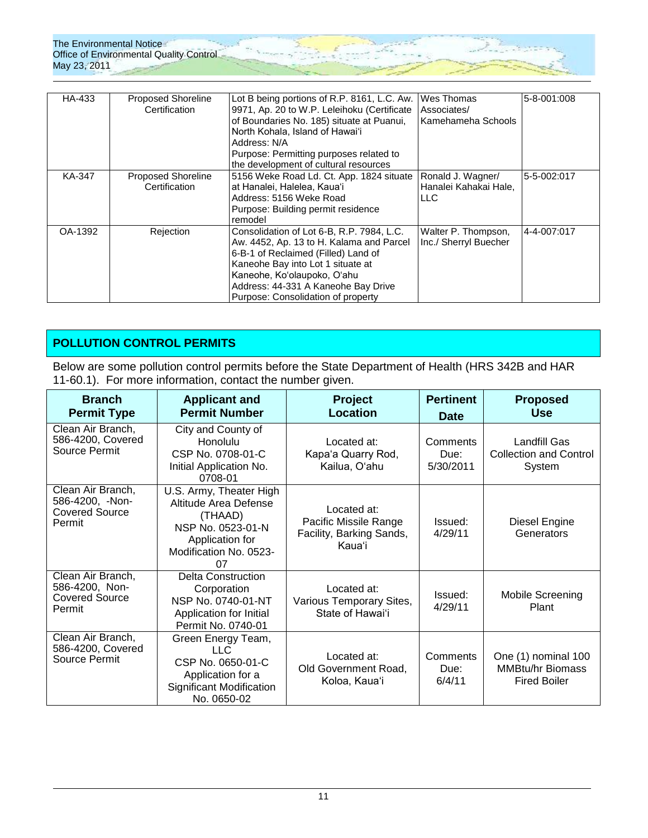

| HA-433  | Proposed Shoreline        | Lot B being portions of R.P. 8161, L.C. Aw. | Wes Thomas            | 5-8-001:008 |
|---------|---------------------------|---------------------------------------------|-----------------------|-------------|
|         | Certification             | 9971, Ap. 20 to W.P. Leleihoku (Certificate | Associates/           |             |
|         |                           | of Boundaries No. 185) situate at Puanui,   | Kamehameha Schools    |             |
|         |                           | North Kohala, Island of Hawai'i             |                       |             |
|         |                           | Address: N/A                                |                       |             |
|         |                           | Purpose: Permitting purposes related to     |                       |             |
|         |                           | the development of cultural resources       |                       |             |
| KA-347  | <b>Proposed Shoreline</b> | 5156 Weke Road Ld. Ct. App. 1824 situate    | Ronald J. Wagner/     | 5-5-002:017 |
|         | Certification             | at Hanalei, Halelea, Kaua'i                 | Hanalei Kahakai Hale, |             |
|         |                           | Address: 5156 Weke Road                     | LLC.                  |             |
|         |                           | Purpose: Building permit residence          |                       |             |
|         |                           | remodel                                     |                       |             |
| OA-1392 | Rejection                 | Consolidation of Lot 6-B, R.P. 7984, L.C.   | Walter P. Thompson,   | 4-4-007:017 |
|         |                           | Aw. 4452, Ap. 13 to H. Kalama and Parcel    | Inc./ Sherryl Buecher |             |
|         |                           | 6-B-1 of Reclaimed (Filled) Land of         |                       |             |
|         |                           | Kaneohe Bay into Lot 1 situate at           |                       |             |
|         |                           | Kaneohe, Ko'olaupoko, O'ahu                 |                       |             |
|         |                           | Address: 44-331 A Kaneohe Bay Drive         |                       |             |
|         |                           | Purpose: Consolidation of property          |                       |             |

# **POLLUTION CONTROL PERMITS**

Below are some pollution control permits before the State Department of Health (HRS 342B and HAR 11-60.1). For more information, contact the number given.

| <b>Branch</b><br><b>Permit Type</b>                                     | <b>Applicant and</b><br><b>Permit Number</b>                                                                                        | <b>Project</b><br><b>Location</b>                                          | <b>Pertinent</b><br><b>Date</b> | <b>Proposed</b><br><b>Use</b>                                         |
|-------------------------------------------------------------------------|-------------------------------------------------------------------------------------------------------------------------------------|----------------------------------------------------------------------------|---------------------------------|-----------------------------------------------------------------------|
| Clean Air Branch,<br>586-4200, Covered<br>Source Permit                 | City and County of<br>Honolulu<br>CSP No. 0708-01-C<br>Initial Application No.<br>0708-01                                           | Located at:<br>Kapa'a Quarry Rod,<br>Kailua, O'ahu                         | Comments<br>Due:<br>5/30/2011   | Landfill Gas<br><b>Collection and Control</b><br>System               |
| Clean Air Branch,<br>586-4200, -Non-<br><b>Covered Source</b><br>Permit | U.S. Army, Theater High<br>Altitude Area Defense<br>(THAAD)<br>NSP No. 0523-01-N<br>Application for<br>Modification No. 0523-<br>07 | Located at:<br>Pacific Missile Range<br>Facility, Barking Sands,<br>Kaua'i | Issued:<br>4/29/11              | Diesel Engine<br>Generators                                           |
| Clean Air Branch,<br>586-4200, Non-<br><b>Covered Source</b><br>Permit  | <b>Delta Construction</b><br>Corporation<br>NSP No. 0740-01-NT<br>Application for Initial<br>Permit No. 0740-01                     | Located at:<br>Various Temporary Sites,<br>State of Hawai'i                | Issued:<br>4/29/11              | Mobile Screening<br>Plant                                             |
| Clean Air Branch,<br>586-4200, Covered<br>Source Permit                 | Green Energy Team,<br>LLC.<br>CSP No. 0650-01-C<br>Application for a<br><b>Significant Modification</b><br>No. 0650-02              | Located at:<br>Old Government Road,<br>Koloa, Kaua'i                       | Comments<br>Due:<br>6/4/11      | One (1) nominal 100<br><b>MMBtu/hr Biomass</b><br><b>Fired Boiler</b> |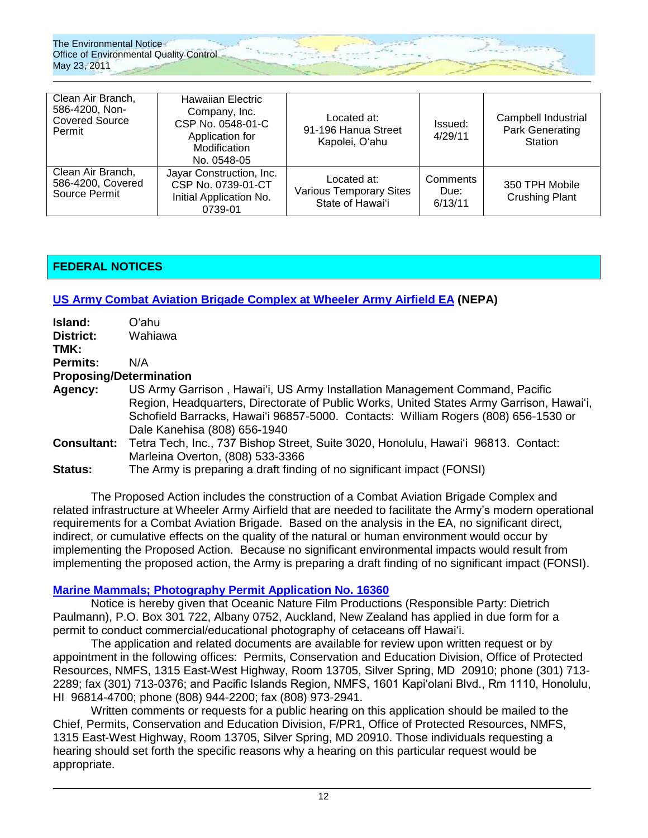| Clean Air Branch,<br>586-4200, Non-<br><b>Covered Source</b><br>Permit | Hawaiian Electric<br>Company, Inc.<br>CSP No. 0548-01-C<br>Application for<br>Modification<br>No. 0548-05 | Located at:<br>91-196 Hanua Street<br>Kapolei, O'ahu              | Issued:<br>4/29/11          | Campbell Industrial<br>Park Generating<br>Station |
|------------------------------------------------------------------------|-----------------------------------------------------------------------------------------------------------|-------------------------------------------------------------------|-----------------------------|---------------------------------------------------|
| Clean Air Branch,<br>586-4200, Covered<br>Source Permit                | Jayar Construction, Inc.<br>CSP No. 0739-01-CT<br>Initial Application No.<br>0739-01                      | Located at:<br><b>Various Temporary Sites</b><br>State of Hawai'i | Comments<br>Due:<br>6/13/11 | 350 TPH Mobile<br><b>Crushing Plant</b>           |

# **FEDERAL NOTICES**

# **[US Army Combat Aviation Brigade Complex at Wheeler Army Airfield EA](http://oeqc.doh.hawaii.gov/Shared%20Documents/EA_and_EIS_Online_Library/Oahu/2010s/2011-05-23-NEPA-EA-US-Army-Combat-Aviation-Wheeler-Complex.pdf) (NEPA)**

| Island:                        | Oʻahu                                                                                                                                                                                                                                                                                         |
|--------------------------------|-----------------------------------------------------------------------------------------------------------------------------------------------------------------------------------------------------------------------------------------------------------------------------------------------|
| <b>District:</b>               | Wahiawa                                                                                                                                                                                                                                                                                       |
| TMK:                           |                                                                                                                                                                                                                                                                                               |
| <b>Permits:</b>                | N/A                                                                                                                                                                                                                                                                                           |
| <b>Proposing/Determination</b> |                                                                                                                                                                                                                                                                                               |
| Agency:                        | US Army Garrison, Hawai'i, US Army Installation Management Command, Pacific<br>Region, Headquarters, Directorate of Public Works, United States Army Garrison, Hawai'i,<br>Schofield Barracks, Hawai'i 96857-5000. Contacts: William Rogers (808) 656-1530 or<br>Dale Kanehisa (808) 656-1940 |
|                                | Consultant: Tetra Tech, Inc., 737 Bishop Street, Suite 3020, Honolulu, Hawai'i 96813. Contact:<br>Marleina Overton, (808) 533-3366                                                                                                                                                            |
| <b>Status:</b>                 | The Army is preparing a draft finding of no significant impact (FONSI)                                                                                                                                                                                                                        |

The Proposed Action includes the construction of a Combat Aviation Brigade Complex and related infrastructure at Wheeler Army Airfield that are needed to facilitate the Army's modern operational requirements for a Combat Aviation Brigade. Based on the analysis in the EA, no significant direct, indirect, or cumulative effects on the quality of the natural or human environment would occur by implementing the Proposed Action. Because no significant environmental impacts would result from implementing the proposed action, the Army is preparing a draft finding of no significant impact (FONSI).

### **[Marine Mammals; Photography Permit Application No. 16360](http://frwebgate1.access.gpo.gov/cgi-bin/TEXTgate.cgi?WAISdocID=5FmRyJ/0/1/0&WAISaction=retrieve)**

Notice is hereby given that Oceanic Nature Film Productions (Responsible Party: Dietrich Paulmann), P.O. Box 301 722, Albany 0752, Auckland, New Zealand has applied in due form for a permit to conduct commercial/educational photography of cetaceans off Hawai'i.

The application and related documents are available for review upon written request or by appointment in the following offices: Permits, Conservation and Education Division, Office of Protected Resources, NMFS, 1315 East-West Highway, Room 13705, Silver Spring, MD 20910; phone (301) 713- 2289; fax (301) 713-0376; and Pacific Islands Region, NMFS, 1601 Kapi'olani Blvd., Rm 1110, Honolulu, HI 96814-4700; phone (808) 944-2200; fax (808) 973-2941.

Written comments or requests for a public hearing on this application should be mailed to the Chief, Permits, Conservation and Education Division, F/PR1, Office of Protected Resources, NMFS, 1315 East-West Highway, Room 13705, Silver Spring, MD 20910. Those individuals requesting a hearing should set forth the specific reasons why a hearing on this particular request would be appropriate.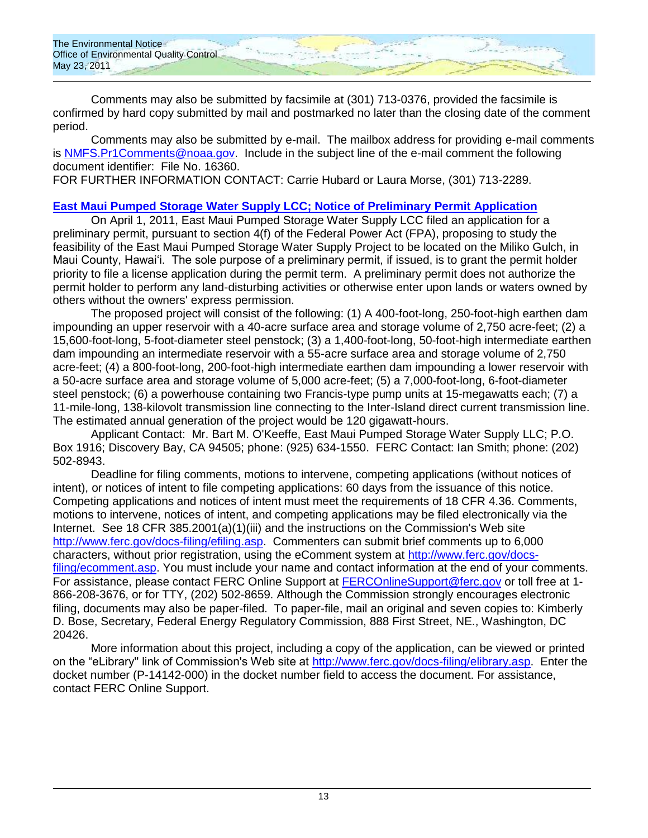The Environmental Notice Office of Environmental Quality Control May 23, 2011

Comments may also be submitted by facsimile at (301) 713-0376, provided the facsimile is confirmed by hard copy submitted by mail and postmarked no later than the closing date of the comment period.

Comments may also be submitted by e-mail. The mailbox address for providing e-mail comments is [NMFS.Pr1Comments@noaa.gov.](mailto:NMFS.Pr1Comments@noaa.gov) Include in the subject line of the e-mail comment the following document identifier: File No. 16360.

FOR FURTHER INFORMATION CONTACT: Carrie Hubard or Laura Morse, (301) 713-2289.

# **[East Maui Pumped Storage Water Supply LCC; Notice of Preliminary](http://frwebgate1.access.gpo.gov/cgi-bin/TEXTgate.cgi?WAISdocID=5FmRyJ/3/1/0&WAISaction=retrieve) Permit Application**

On April 1, 2011, East Maui Pumped Storage Water Supply LCC filed an application for a preliminary permit, pursuant to section 4(f) of the Federal Power Act (FPA), proposing to study the feasibility of the East Maui Pumped Storage Water Supply Project to be located on the Miliko Gulch, in Maui County, Hawai'i. The sole purpose of a preliminary permit, if issued, is to grant the permit holder priority to file a license application during the permit term. A preliminary permit does not authorize the permit holder to perform any land-disturbing activities or otherwise enter upon lands or waters owned by others without the owners' express permission.

The proposed project will consist of the following: (1) A 400-foot-long, 250-foot-high earthen dam impounding an upper reservoir with a 40-acre surface area and storage volume of 2,750 acre-feet; (2) a 15,600-foot-long, 5-foot-diameter steel penstock; (3) a 1,400-foot-long, 50-foot-high intermediate earthen dam impounding an intermediate reservoir with a 55-acre surface area and storage volume of 2,750 acre-feet; (4) a 800-foot-long, 200-foot-high intermediate earthen dam impounding a lower reservoir with a 50-acre surface area and storage volume of 5,000 acre-feet; (5) a 7,000-foot-long, 6-foot-diameter steel penstock; (6) a powerhouse containing two Francis-type pump units at 15-megawatts each; (7) a 11-mile-long, 138-kilovolt transmission line connecting to the Inter-Island direct current transmission line. The estimated annual generation of the project would be 120 gigawatt-hours.

Applicant Contact: Mr. Bart M. O'Keeffe, East Maui Pumped Storage Water Supply LLC; P.O. Box 1916; Discovery Bay, CA 94505; phone: (925) 634-1550. FERC Contact: Ian Smith; phone: (202) 502-8943.

Deadline for filing comments, motions to intervene, competing applications (without notices of intent), or notices of intent to file competing applications: 60 days from the issuance of this notice. Competing applications and notices of intent must meet the requirements of 18 CFR 4.36. Comments, motions to intervene, notices of intent, and competing applications may be filed electronically via the Internet. See 18 CFR 385.2001(a)(1)(iii) and the instructions on the Commission's Web site [http://www.ferc.gov/docs-filing/efiling.asp.](http://frwebgate.access.gpo.gov/cgi-bin/leaving.cgi?from=leavingFR.html&log=linklog&to=http://www.ferc.gov/docs-filing/efiling.asp) Commenters can submit brief comments up to 6,000 characters, without prior registration, using the eComment system at [http://www.ferc.gov/docs](http://www.ferc.gov/docs-filing/ecomment.asp)[filing/ecomment.asp.](http://www.ferc.gov/docs-filing/ecomment.asp) You must include your name and contact information at the end of your comments. For assistance, please contact FERC Online Support at **FERCOnlineSupport@ferc.gov** or toll free at 1-866-208-3676, or for TTY, (202) 502-8659. Although the Commission strongly encourages electronic filing, documents may also be paper-filed. To paper-file, mail an original and seven copies to: Kimberly D. Bose, Secretary, Federal Energy Regulatory Commission, 888 First Street, NE., Washington, DC 20426.

More information about this project, including a copy of the application, can be viewed or printed on the "eLibrary'' link of Commission's Web site at [http://www.ferc.gov/docs-filing/elibrary.asp.](http://frwebgate.access.gpo.gov/cgi-bin/leaving.cgi?from=leavingFR.html&log=linklog&to=http://www.ferc.gov/docs-filing/elibrary.asp) Enter the docket number (P-14142-000) in the docket number field to access the document. For assistance, contact FERC Online Support.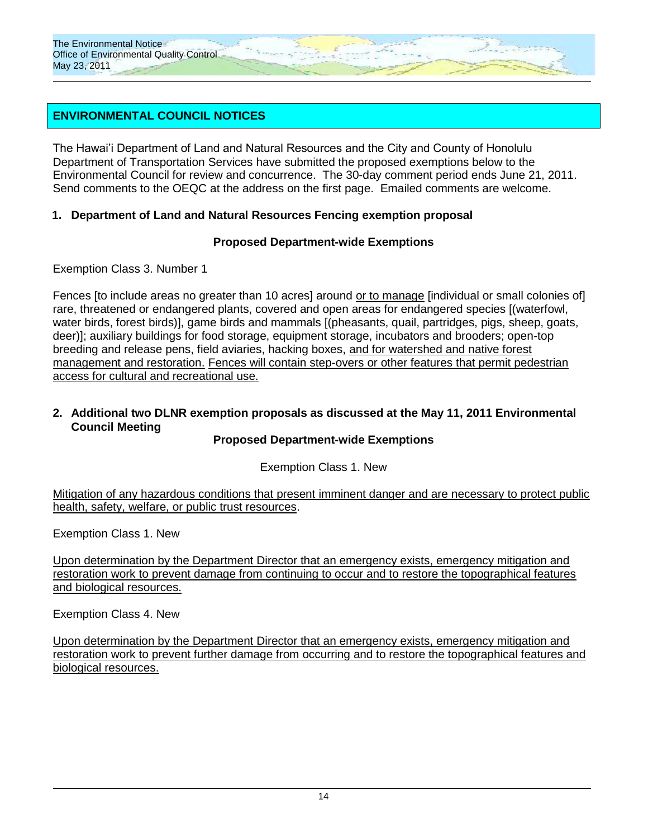# **ENVIRONMENTAL COUNCIL NOTICES**

The Hawai'i Department of Land and Natural Resources and the City and County of Honolulu Department of Transportation Services have submitted the proposed exemptions below to the Environmental Council for review and concurrence. The 30-day comment period ends June 21, 2011. Send comments to the OEQC at the address on the first page. Emailed comments are welcome.

### **1. Department of Land and Natural Resources Fencing exemption proposal**

### **Proposed Department-wide Exemptions**

Exemption Class 3. Number 1

Fences [to include areas no greater than 10 acres] around or to manage [individual or small colonies of] rare, threatened or endangered plants, covered and open areas for endangered species [(waterfowl, water birds, forest birds)], game birds and mammals [(pheasants, quail, partridges, pigs, sheep, goats, deer)]; auxiliary buildings for food storage, equipment storage, incubators and brooders; open-top breeding and release pens, field aviaries, hacking boxes, and for watershed and native forest management and restoration. Fences will contain step-overs or other features that permit pedestrian access for cultural and recreational use.

### **2. Additional two DLNR exemption proposals as discussed at the May 11, 2011 Environmental Council Meeting**

### **Proposed Department-wide Exemptions**

Exemption Class 1. New

Mitigation of any hazardous conditions that present imminent danger and are necessary to protect public health, safety, welfare, or public trust resources.

Exemption Class 1. New

Upon determination by the Department Director that an emergency exists, emergency mitigation and restoration work to prevent damage from continuing to occur and to restore the topographical features and biological resources.

Exemption Class 4. New

Upon determination by the Department Director that an emergency exists, emergency mitigation and restoration work to prevent further damage from occurring and to restore the topographical features and biological resources.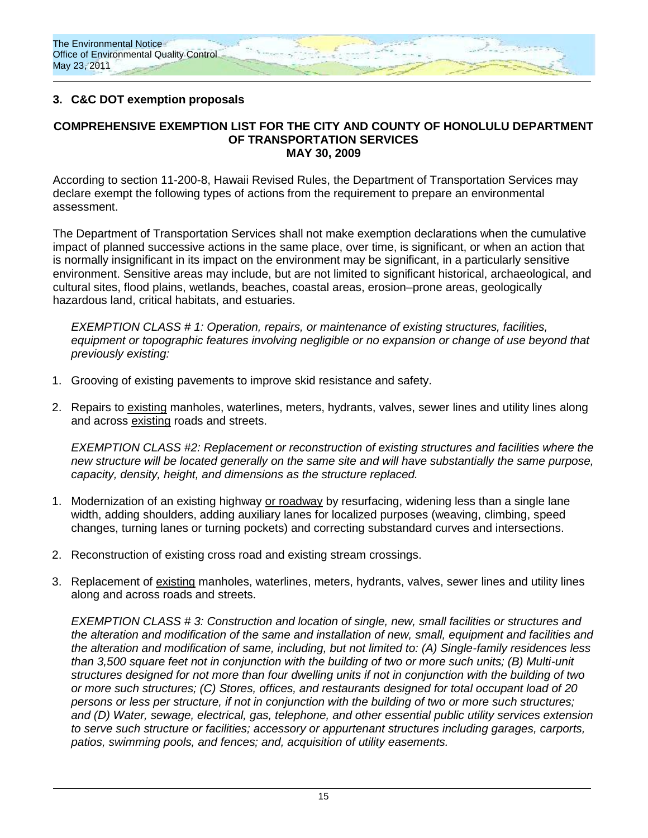

# **3. C&C DOT exemption proposals**

#### **COMPREHENSIVE EXEMPTION LIST FOR THE CITY AND COUNTY OF HONOLULU DEPARTMENT OF TRANSPORTATION SERVICES MAY 30, 2009**

According to section 11-200-8, Hawaii Revised Rules, the Department of Transportation Services may declare exempt the following types of actions from the requirement to prepare an environmental assessment.

The Department of Transportation Services shall not make exemption declarations when the cumulative impact of planned successive actions in the same place, over time, is significant, or when an action that is normally insignificant in its impact on the environment may be significant, in a particularly sensitive environment. Sensitive areas may include, but are not limited to significant historical, archaeological, and cultural sites, flood plains, wetlands, beaches, coastal areas, erosion–prone areas, geologically hazardous land, critical habitats, and estuaries.

*EXEMPTION CLASS # 1: Operation, repairs, or maintenance of existing structures, facilities, equipment or topographic features involving negligible or no expansion or change of use beyond that previously existing:* 

- 1. Grooving of existing pavements to improve skid resistance and safety.
- 2. Repairs to existing manholes, waterlines, meters, hydrants, valves, sewer lines and utility lines along and across existing roads and streets.

*EXEMPTION CLASS #2: Replacement or reconstruction of existing structures and facilities where the new structure will be located generally on the same site and will have substantially the same purpose, capacity, density, height, and dimensions as the structure replaced.* 

- 1. Modernization of an existing highway or roadway by resurfacing, widening less than a single lane width, adding shoulders, adding auxiliary lanes for localized purposes (weaving, climbing, speed changes, turning lanes or turning pockets) and correcting substandard curves and intersections.
- 2. Reconstruction of existing cross road and existing stream crossings.
- 3. Replacement of existing manholes, waterlines, meters, hydrants, valves, sewer lines and utility lines along and across roads and streets.

*EXEMPTION CLASS # 3: Construction and location of single, new, small facilities or structures and the alteration and modification of the same and installation of new, small, equipment and facilities and the alteration and modification of same, including, but not limited to: (A) Single-family residences less than 3,500 square feet not in conjunction with the building of two or more such units; (B) Multi-unit structures designed for not more than four dwelling units if not in conjunction with the building of two or more such structures; (C) Stores, offices, and restaurants designed for total occupant load of 20 persons or less per structure, if not in conjunction with the building of two or more such structures; and (D) Water, sewage, electrical, gas, telephone, and other essential public utility services extension to serve such structure or facilities; accessory or appurtenant structures including garages, carports, patios, swimming pools, and fences; and, acquisition of utility easements.*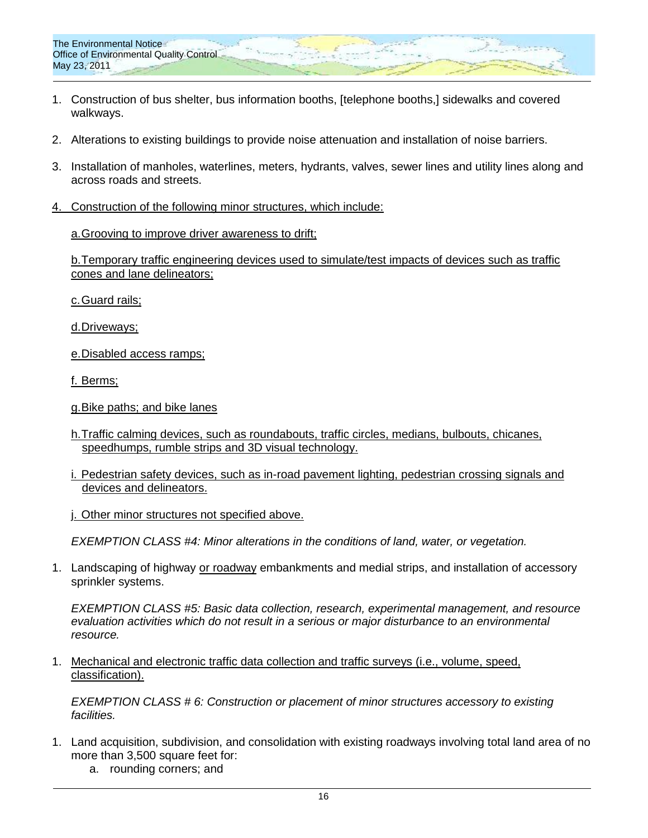

- 1. Construction of bus shelter, bus information booths, [telephone booths,] sidewalks and covered walkways.
- 2. Alterations to existing buildings to provide noise attenuation and installation of noise barriers.
- 3. Installation of manholes, waterlines, meters, hydrants, valves, sewer lines and utility lines along and across roads and streets.
- 4. Construction of the following minor structures, which include:

a.Grooving to improve driver awareness to drift;

b.Temporary traffic engineering devices used to simulate/test impacts of devices such as traffic cones and lane delineators;

- c.Guard rails;
- d.Driveways;
- e.Disabled access ramps;
- f. Berms;
- g.Bike paths; and bike lanes
- h.Traffic calming devices, such as roundabouts, traffic circles, medians, bulbouts, chicanes, speedhumps, rumble strips and 3D visual technology.
- i. Pedestrian safety devices, such as in-road pavement lighting, pedestrian crossing signals and devices and delineators.
- j. Other minor structures not specified above.

*EXEMPTION CLASS #4: Minor alterations in the conditions of land, water, or vegetation.* 

1. Landscaping of highway or roadway embankments and medial strips, and installation of accessory sprinkler systems.

*EXEMPTION CLASS #5: Basic data collection, research, experimental management, and resource evaluation activities which do not result in a serious or major disturbance to an environmental resource.* 

1. Mechanical and electronic traffic data collection and traffic surveys (i.e., volume, speed, classification).

*EXEMPTION CLASS # 6: Construction or placement of minor structures accessory to existing facilities.* 

- 1. Land acquisition, subdivision, and consolidation with existing roadways involving total land area of no more than 3,500 square feet for:
	- a. rounding corners; and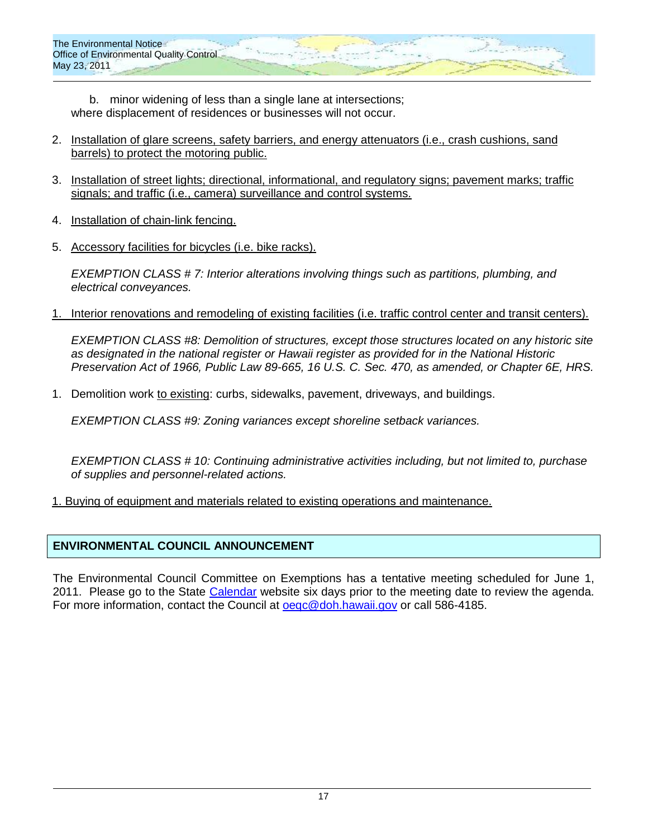b. minor widening of less than a single lane at intersections; where displacement of residences or businesses will not occur.

- 2. Installation of glare screens, safety barriers, and energy attenuators (i.e., crash cushions, sand barrels) to protect the motoring public.
- 3. Installation of street lights; directional, informational, and regulatory signs; pavement marks; traffic signals; and traffic (i.e., camera) surveillance and control systems.
- 4. Installation of chain-link fencing.
- 5. Accessory facilities for bicycles (i.e. bike racks).

*EXEMPTION CLASS # 7: Interior alterations involving things such as partitions, plumbing, and electrical conveyances.* 

1. Interior renovations and remodeling of existing facilities (i.e. traffic control center and transit centers).

*EXEMPTION CLASS #8: Demolition of structures, except those structures located on any historic site as designated in the national register or Hawaii register as provided for in the National Historic Preservation Act of 1966, Public Law 89-665, 16 U.S. C. Sec. 470, as amended, or Chapter 6E, HRS.* 

1. Demolition work to existing: curbs, sidewalks, pavement, driveways, and buildings.

*EXEMPTION CLASS #9: Zoning variances except shoreline setback variances.* 

*EXEMPTION CLASS # 10: Continuing administrative activities including, but not limited to, purchase of supplies and personnel-related actions.* 

1. Buying of equipment and materials related to existing operations and maintenance.

# **ENVIRONMENTAL COUNCIL ANNOUNCEMENT**

The Environmental Council Committee on Exemptions has a tentative meeting scheduled for June 1, 2011. Please go to the State [Calendar](http://calendar.ehawaii.gov/calendar/html/event) website six days prior to the meeting date to review the agenda. For more information, contact the Council at oegc@doh.hawaii.gov or call 586-4185.